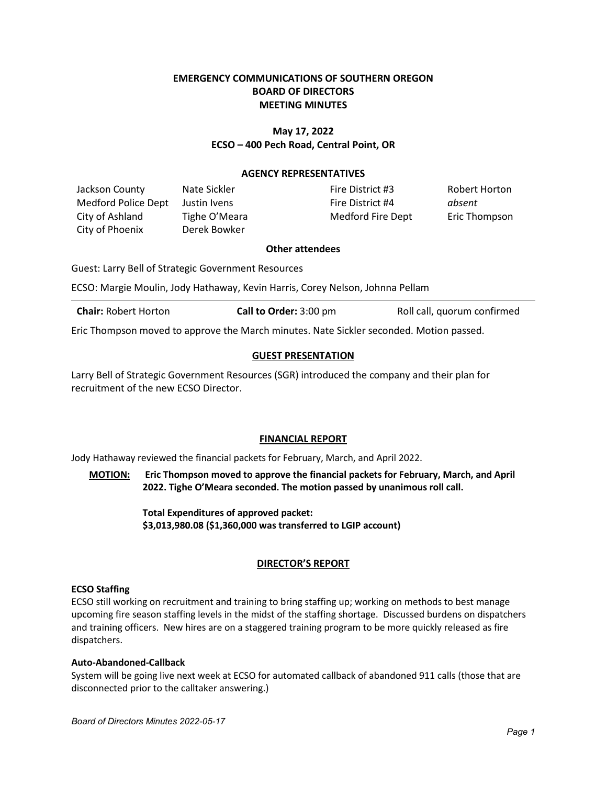# **EMERGENCY COMMUNICATIONS OF SOUTHERN OREGON BOARD OF DIRECTORS MEETING MINUTES**

# **May 17, 2022 ECSO – 400 Pech Road, Central Point, OR**

### **AGENCY REPRESENTATIVES**

Jackson County **Nate Sickler Fire District #3** Robert Horton Medford Police Dept Justin Ivens Fire District #4 *absent* City of Ashland Tighe O'Meara Medford Fire Dept Eric Thompson City of Phoenix Derek Bowker

### **Other attendees**

Guest: Larry Bell of Strategic Government Resources

ECSO: Margie Moulin, Jody Hathaway, Kevin Harris, Corey Nelson, Johnna Pellam

**Chair:** Robert Horton **Call to Order:** 3:00 pm Roll call, quorum confirmed

Eric Thompson moved to approve the March minutes. Nate Sickler seconded. Motion passed.

# **GUEST PRESENTATION**

Larry Bell of Strategic Government Resources (SGR) introduced the company and their plan for recruitment of the new ECSO Director.

## **FINANCIAL REPORT**

Jody Hathaway reviewed the financial packets for February, March, and April 2022.

**MOTION: Eric Thompson moved to approve the financial packets for February, March, and April 2022. Tighe O'Meara seconded. The motion passed by unanimous roll call.**

> **Total Expenditures of approved packet: \$3,013,980.08 (\$1,360,000 was transferred to LGIP account)**

## **DIRECTOR'S REPORT**

## **ECSO Staffing**

ECSO still working on recruitment and training to bring staffing up; working on methods to best manage upcoming fire season staffing levels in the midst of the staffing shortage. Discussed burdens on dispatchers and training officers. New hires are on a staggered training program to be more quickly released as fire dispatchers.

## **Auto-Abandoned-Callback**

System will be going live next week at ECSO for automated callback of abandoned 911 calls (those that are disconnected prior to the calltaker answering.)